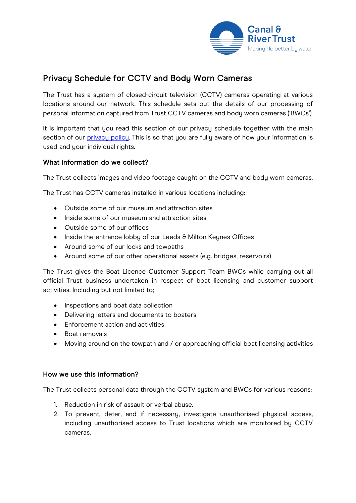

# Privacy Schedule for CCTV and Body Worn Cameras

The Trust has a system of closed-circuit television (CCTV) cameras operating at various locations around our network. This schedule sets out the details of our processing of personal information captured from Trust CCTV cameras and body worn cameras ('BWCs').

It is important that you read this section of our privacy schedule together with the main section of our [privacy policy.](https://canalrivertrust.org.uk/cookie-and-privacy-policy) This is so that you are fully aware of how your information is used and your individual rights.

# What information do we collect?

The Trust collects images and video footage caught on the CCTV and body worn cameras.

The Trust has CCTV cameras installed in various locations including:

- Outside some of our museum and attraction sites
- Inside some of our museum and attraction sites
- Outside some of our offices
- Inside the entrance lobby of our Leeds & Milton Keynes Offices
- Around some of our locks and towpaths
- Around some of our other operational assets (e.g. bridges, reservoirs)

The Trust gives the Boat Licence Customer Support Team BWCs while carrying out all official Trust business undertaken in respect of boat licensing and customer support activities. Including but not limited to;

- Inspections and boat data collection
- Delivering letters and documents to boaters
- Enforcement action and activities
- Boat removals
- Moving around on the towpath and / or approaching official boat licensing activities

#### How we use this information?

The Trust collects personal data through the CCTV system and BWCs for various reasons:

- 1. Reduction in risk of assault or verbal abuse.
- 2. To prevent, deter, and if necessary, investigate unauthorised physical access, including unauthorised access to Trust locations which are monitored by CCTV cameras.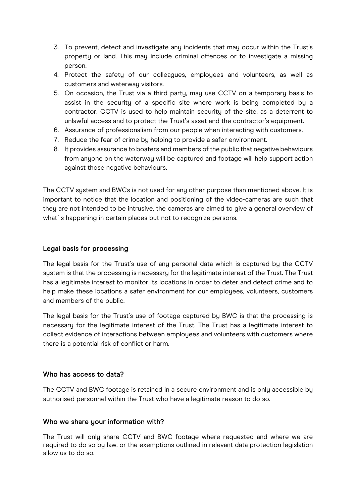- 3. To prevent, detect and investigate any incidents that may occur within the Trust's property or land. This may include criminal offences or to investigate a missing person.
- 4. Protect the safety of our colleagues, employees and volunteers, as well as customers and waterway visitors.
- 5. On occasion, the Trust via a third party, may use CCTV on a temporary basis to assist in the security of a specific site where work is being completed by a contractor. CCTV is used to help maintain security of the site, as a deterrent to unlawful access and to protect the Trust's asset and the contractor's equipment.
- 6. Assurance of professionalism from our people when interacting with customers.
- 7. Reduce the fear of crime by helping to provide a safer environment.
- 8. It provides assurance to boaters and members of the public that negative behaviours from anyone on the waterway will be captured and footage will help support action against those negative behaviours.

The CCTV system and BWCs is not used for any other purpose than mentioned above. It is important to notice that the location and positioning of the video-cameras are such that they are not intended to be intrusive, the cameras are aimed to give a general overview of what's happening in certain places but not to recognize persons.

#### Legal basis for processing

The legal basis for the Trust's use of any personal data which is captured by the CCTV system is that the processing is necessary for the legitimate interest of the Trust. The Trust has a legitimate interest to monitor its locations in order to deter and detect crime and to help make these locations a safer environment for our employees, volunteers, customers and members of the public.

The legal basis for the Trust's use of footage captured by BWC is that the processing is necessary for the legitimate interest of the Trust. The Trust has a legitimate interest to collect evidence of interactions between employees and volunteers with customers where there is a potential risk of conflict or harm.

#### Who has access to data?

The CCTV and BWC footage is retained in a secure environment and is only accessible by authorised personnel within the Trust who have a legitimate reason to do so.

# Who we share your information with?

The Trust will only share CCTV and BWC footage where requested and where we are required to do so by law, or the exemptions outlined in relevant data protection legislation allow us to do so.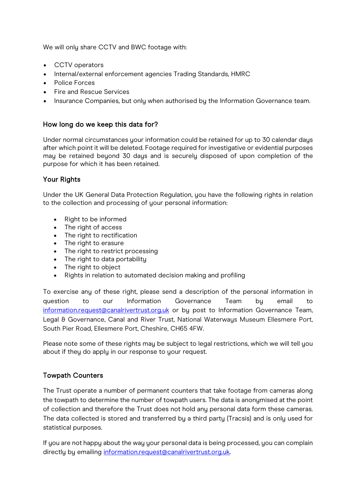We will only share CCTV and BWC footage with:

- CCTV operators
- Internal/external enforcement agencies Trading Standards, HMRC
- Police Forces
- Fire and Rescue Services
- Insurance Companies, but only when authorised by the Information Governance team.

## How long do we keep this data for?

Under normal circumstances your information could be retained for up to 30 calendar days after which point it will be deleted. Footage required for investigative or evidential purposes may be retained beyond 30 days and is securely disposed of upon completion of the purpose for which it has been retained.

### Your Rights

Under the UK General Data Protection Regulation, you have the following rights in relation to the collection and processing of your personal information:

- Right to be informed
- The right of access
- The right to rectification
- The right to erasure
- The right to restrict processing
- The right to data portability
- The right to object
- Rights in relation to automated decision making and profiling

To exercise any of these right, please send a description of the personal information in question to our Information Governance Team by email to [information.request@canalrivertrust.org.uk](mailto:information.request@canalrivertrust.org.uk) or by post to Information Governance Team, Legal & Governance, Canal and River Trust, National Waterways Museum Ellesmere Port, South Pier Road, Ellesmere Port, Cheshire, CH65 4FW.

Please note some of these rights may be subject to legal restrictions, which we will tell you about if they do apply in our response to your request.

# Towpath Counters

The Trust operate a number of permanent counters that take footage from cameras along the towpath to determine the number of towpath users. The data is anonymised at the point of collection and therefore the Trust does not hold any personal data form these cameras. The data collected is stored and transferred by a third party (Tracsis) and is only used for statistical purposes.

If you are not happy about the way your personal data is being processed, you can complain directly by emailing [information.request@canalrivertrust.org.uk.](mailto:information.request@canalrivertrust.org.uk)